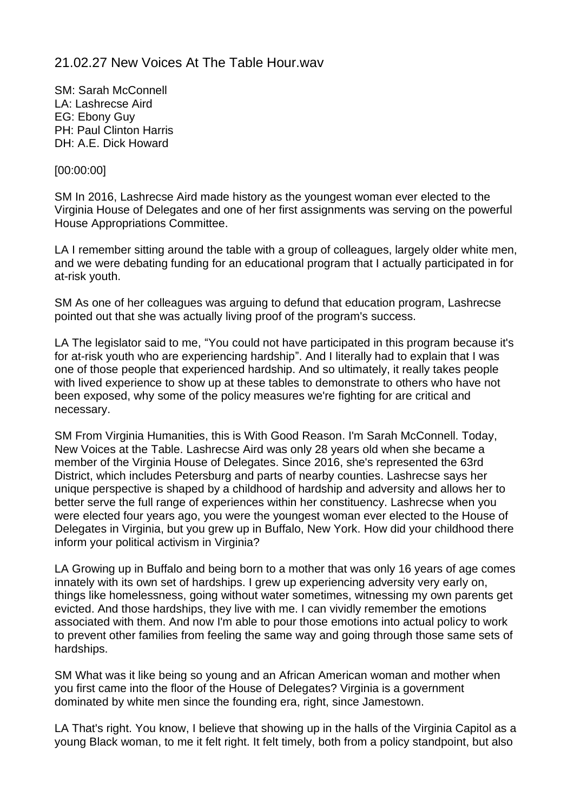# 21.02.27 New Voices At The Table Hour.wav

SM: Sarah McConnell LA: Lashrecse Aird EG: Ebony Guy PH: Paul Clinton Harris DH: A.E. Dick Howard

## [00:00:00]

SM In 2016, Lashrecse Aird made history as the youngest woman ever elected to the Virginia House of Delegates and one of her first assignments was serving on the powerful House Appropriations Committee.

LA I remember sitting around the table with a group of colleagues, largely older white men, and we were debating funding for an educational program that I actually participated in for at-risk youth.

SM As one of her colleagues was arguing to defund that education program, Lashrecse pointed out that she was actually living proof of the program's success.

LA The legislator said to me, "You could not have participated in this program because it's for at-risk youth who are experiencing hardship". And I literally had to explain that I was one of those people that experienced hardship. And so ultimately, it really takes people with lived experience to show up at these tables to demonstrate to others who have not been exposed, why some of the policy measures we're fighting for are critical and necessary.

SM From Virginia Humanities, this is With Good Reason. I'm Sarah McConnell. Today, New Voices at the Table. Lashrecse Aird was only 28 years old when she became a member of the Virginia House of Delegates. Since 2016, she's represented the 63rd District, which includes Petersburg and parts of nearby counties. Lashrecse says her unique perspective is shaped by a childhood of hardship and adversity and allows her to better serve the full range of experiences within her constituency. Lashrecse when you were elected four years ago, you were the youngest woman ever elected to the House of Delegates in Virginia, but you grew up in Buffalo, New York. How did your childhood there inform your political activism in Virginia?

LA Growing up in Buffalo and being born to a mother that was only 16 years of age comes innately with its own set of hardships. I grew up experiencing adversity very early on, things like homelessness, going without water sometimes, witnessing my own parents get evicted. And those hardships, they live with me. I can vividly remember the emotions associated with them. And now I'm able to pour those emotions into actual policy to work to prevent other families from feeling the same way and going through those same sets of hardships.

SM What was it like being so young and an African American woman and mother when you first came into the floor of the House of Delegates? Virginia is a government dominated by white men since the founding era, right, since Jamestown.

LA That's right. You know, I believe that showing up in the halls of the Virginia Capitol as a young Black woman, to me it felt right. It felt timely, both from a policy standpoint, but also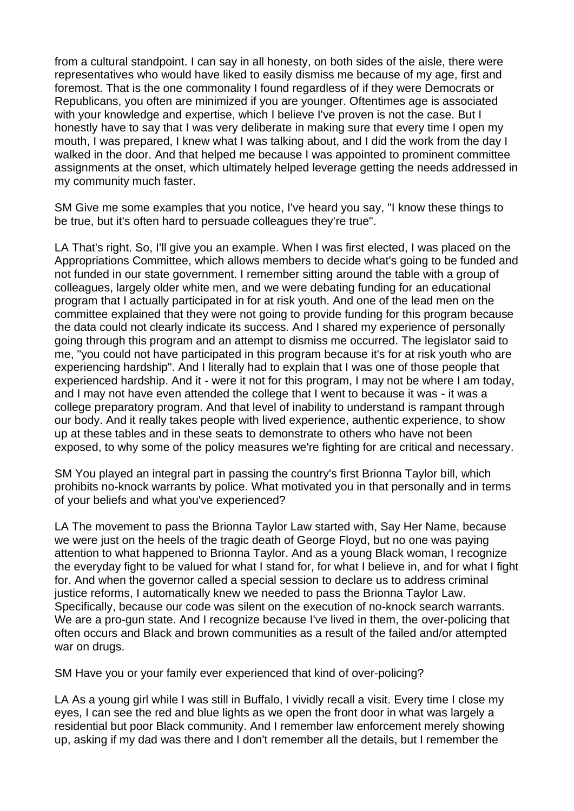from a cultural standpoint. I can say in all honesty, on both sides of the aisle, there were representatives who would have liked to easily dismiss me because of my age, first and foremost. That is the one commonality I found regardless of if they were Democrats or Republicans, you often are minimized if you are younger. Oftentimes age is associated with your knowledge and expertise, which I believe I've proven is not the case. But I honestly have to say that I was very deliberate in making sure that every time I open my mouth, I was prepared, I knew what I was talking about, and I did the work from the day I walked in the door. And that helped me because I was appointed to prominent committee assignments at the onset, which ultimately helped leverage getting the needs addressed in my community much faster.

SM Give me some examples that you notice, I've heard you say, "I know these things to be true, but it's often hard to persuade colleagues they're true".

LA That's right. So, I'll give you an example. When I was first elected, I was placed on the Appropriations Committee, which allows members to decide what's going to be funded and not funded in our state government. I remember sitting around the table with a group of colleagues, largely older white men, and we were debating funding for an educational program that I actually participated in for at risk youth. And one of the lead men on the committee explained that they were not going to provide funding for this program because the data could not clearly indicate its success. And I shared my experience of personally going through this program and an attempt to dismiss me occurred. The legislator said to me, "you could not have participated in this program because it's for at risk youth who are experiencing hardship". And I literally had to explain that I was one of those people that experienced hardship. And it - were it not for this program, I may not be where I am today, and I may not have even attended the college that I went to because it was - it was a college preparatory program. And that level of inability to understand is rampant through our body. And it really takes people with lived experience, authentic experience, to show up at these tables and in these seats to demonstrate to others who have not been exposed, to why some of the policy measures we're fighting for are critical and necessary.

SM You played an integral part in passing the country's first Brionna Taylor bill, which prohibits no-knock warrants by police. What motivated you in that personally and in terms of your beliefs and what you've experienced?

LA The movement to pass the Brionna Taylor Law started with, Say Her Name, because we were just on the heels of the tragic death of George Floyd, but no one was paying attention to what happened to Brionna Taylor. And as a young Black woman, I recognize the everyday fight to be valued for what I stand for, for what I believe in, and for what I fight for. And when the governor called a special session to declare us to address criminal justice reforms, I automatically knew we needed to pass the Brionna Taylor Law. Specifically, because our code was silent on the execution of no-knock search warrants. We are a pro-gun state. And I recognize because I've lived in them, the over-policing that often occurs and Black and brown communities as a result of the failed and/or attempted war on drugs.

SM Have you or your family ever experienced that kind of over-policing?

LA As a young girl while I was still in Buffalo, I vividly recall a visit. Every time I close my eyes, I can see the red and blue lights as we open the front door in what was largely a residential but poor Black community. And I remember law enforcement merely showing up, asking if my dad was there and I don't remember all the details, but I remember the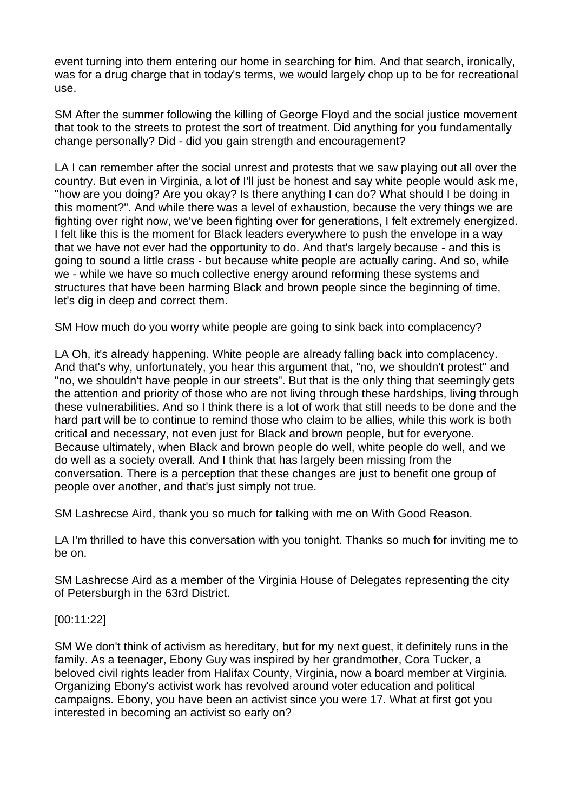event turning into them entering our home in searching for him. And that search, ironically, was for a drug charge that in today's terms, we would largely chop up to be for recreational use.

SM After the summer following the killing of George Floyd and the social justice movement that took to the streets to protest the sort of treatment. Did anything for you fundamentally change personally? Did - did you gain strength and encouragement?

LA I can remember after the social unrest and protests that we saw playing out all over the country. But even in Virginia, a lot of I'll just be honest and say white people would ask me, "how are you doing? Are you okay? Is there anything I can do? What should I be doing in this moment?". And while there was a level of exhaustion, because the very things we are fighting over right now, we've been fighting over for generations, I felt extremely energized. I felt like this is the moment for Black leaders everywhere to push the envelope in a way that we have not ever had the opportunity to do. And that's largely because - and this is going to sound a little crass - but because white people are actually caring. And so, while we - while we have so much collective energy around reforming these systems and structures that have been harming Black and brown people since the beginning of time, let's dig in deep and correct them.

SM How much do you worry white people are going to sink back into complacency?

LA Oh, it's already happening. White people are already falling back into complacency. And that's why, unfortunately, you hear this argument that, "no, we shouldn't protest" and "no, we shouldn't have people in our streets". But that is the only thing that seemingly gets the attention and priority of those who are not living through these hardships, living through these vulnerabilities. And so I think there is a lot of work that still needs to be done and the hard part will be to continue to remind those who claim to be allies, while this work is both critical and necessary, not even just for Black and brown people, but for everyone. Because ultimately, when Black and brown people do well, white people do well, and we do well as a society overall. And I think that has largely been missing from the conversation. There is a perception that these changes are just to benefit one group of people over another, and that's just simply not true.

SM Lashrecse Aird, thank you so much for talking with me on With Good Reason.

LA I'm thrilled to have this conversation with you tonight. Thanks so much for inviting me to be on.

SM Lashrecse Aird as a member of the Virginia House of Delegates representing the city of Petersburgh in the 63rd District.

### [00:11:22]

SM We don't think of activism as hereditary, but for my next guest, it definitely runs in the family. As a teenager, Ebony Guy was inspired by her grandmother, Cora Tucker, a beloved civil rights leader from Halifax County, Virginia, now a board member at Virginia. Organizing Ebony's activist work has revolved around voter education and political campaigns. Ebony, you have been an activist since you were 17. What at first got you interested in becoming an activist so early on?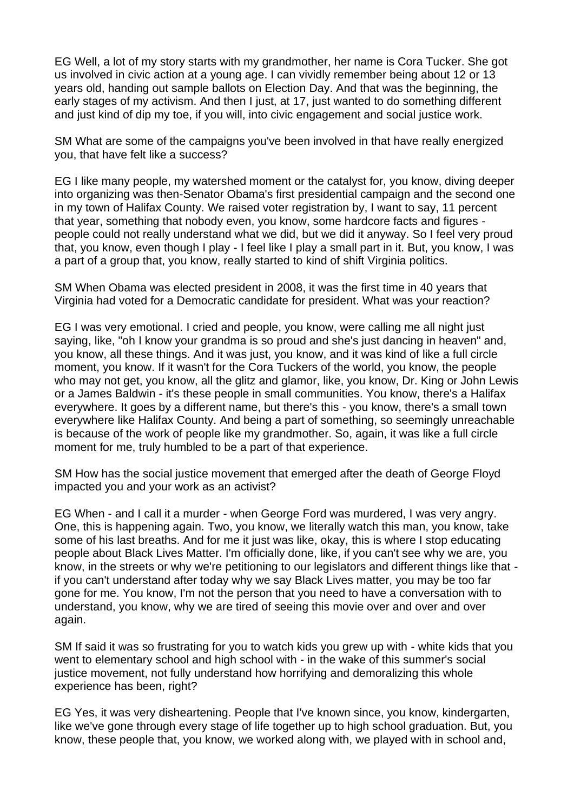EG Well, a lot of my story starts with my grandmother, her name is Cora Tucker. She got us involved in civic action at a young age. I can vividly remember being about 12 or 13 years old, handing out sample ballots on Election Day. And that was the beginning, the early stages of my activism. And then I just, at 17, just wanted to do something different and just kind of dip my toe, if you will, into civic engagement and social justice work.

SM What are some of the campaigns you've been involved in that have really energized you, that have felt like a success?

EG I like many people, my watershed moment or the catalyst for, you know, diving deeper into organizing was then-Senator Obama's first presidential campaign and the second one in my town of Halifax County. We raised voter registration by, I want to say, 11 percent that year, something that nobody even, you know, some hardcore facts and figures people could not really understand what we did, but we did it anyway. So I feel very proud that, you know, even though I play - I feel like I play a small part in it. But, you know, I was a part of a group that, you know, really started to kind of shift Virginia politics.

SM When Obama was elected president in 2008, it was the first time in 40 years that Virginia had voted for a Democratic candidate for president. What was your reaction?

EG I was very emotional. I cried and people, you know, were calling me all night just saying, like, "oh I know your grandma is so proud and she's just dancing in heaven" and, you know, all these things. And it was just, you know, and it was kind of like a full circle moment, you know. If it wasn't for the Cora Tuckers of the world, you know, the people who may not get, you know, all the glitz and glamor, like, you know, Dr. King or John Lewis or a James Baldwin - it's these people in small communities. You know, there's a Halifax everywhere. It goes by a different name, but there's this - you know, there's a small town everywhere like Halifax County. And being a part of something, so seemingly unreachable is because of the work of people like my grandmother. So, again, it was like a full circle moment for me, truly humbled to be a part of that experience.

SM How has the social justice movement that emerged after the death of George Floyd impacted you and your work as an activist?

EG When - and I call it a murder - when George Ford was murdered, I was very angry. One, this is happening again. Two, you know, we literally watch this man, you know, take some of his last breaths. And for me it just was like, okay, this is where I stop educating people about Black Lives Matter. I'm officially done, like, if you can't see why we are, you know, in the streets or why we're petitioning to our legislators and different things like that if you can't understand after today why we say Black Lives matter, you may be too far gone for me. You know, I'm not the person that you need to have a conversation with to understand, you know, why we are tired of seeing this movie over and over and over again.

SM If said it was so frustrating for you to watch kids you grew up with - white kids that you went to elementary school and high school with - in the wake of this summer's social justice movement, not fully understand how horrifying and demoralizing this whole experience has been, right?

EG Yes, it was very disheartening. People that I've known since, you know, kindergarten, like we've gone through every stage of life together up to high school graduation. But, you know, these people that, you know, we worked along with, we played with in school and,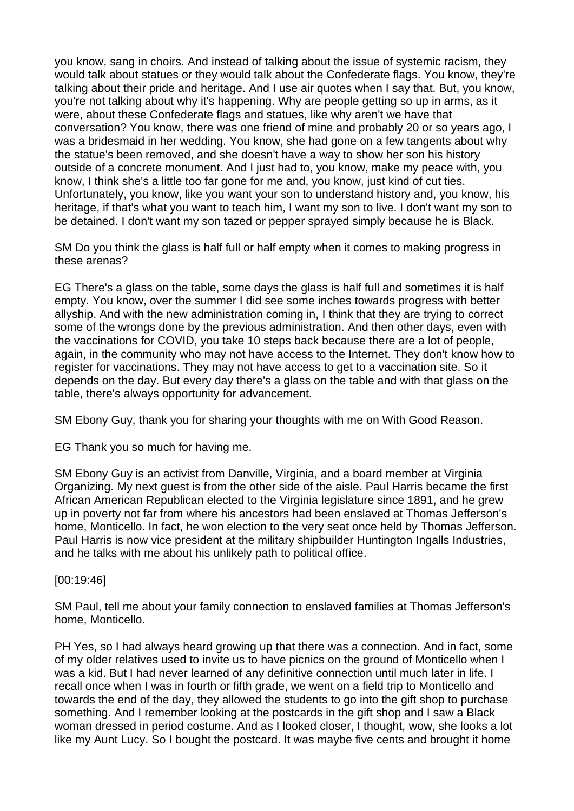you know, sang in choirs. And instead of talking about the issue of systemic racism, they would talk about statues or they would talk about the Confederate flags. You know, they're talking about their pride and heritage. And I use air quotes when I say that. But, you know, you're not talking about why it's happening. Why are people getting so up in arms, as it were, about these Confederate flags and statues, like why aren't we have that conversation? You know, there was one friend of mine and probably 20 or so years ago, I was a bridesmaid in her wedding. You know, she had gone on a few tangents about why the statue's been removed, and she doesn't have a way to show her son his history outside of a concrete monument. And I just had to, you know, make my peace with, you know, I think she's a little too far gone for me and, you know, just kind of cut ties. Unfortunately, you know, like you want your son to understand history and, you know, his heritage, if that's what you want to teach him, I want my son to live. I don't want my son to be detained. I don't want my son tazed or pepper sprayed simply because he is Black.

SM Do you think the glass is half full or half empty when it comes to making progress in these arenas?

EG There's a glass on the table, some days the glass is half full and sometimes it is half empty. You know, over the summer I did see some inches towards progress with better allyship. And with the new administration coming in, I think that they are trying to correct some of the wrongs done by the previous administration. And then other days, even with the vaccinations for COVID, you take 10 steps back because there are a lot of people, again, in the community who may not have access to the Internet. They don't know how to register for vaccinations. They may not have access to get to a vaccination site. So it depends on the day. But every day there's a glass on the table and with that glass on the table, there's always opportunity for advancement.

SM Ebony Guy, thank you for sharing your thoughts with me on With Good Reason.

EG Thank you so much for having me.

SM Ebony Guy is an activist from Danville, Virginia, and a board member at Virginia Organizing. My next guest is from the other side of the aisle. Paul Harris became the first African American Republican elected to the Virginia legislature since 1891, and he grew up in poverty not far from where his ancestors had been enslaved at Thomas Jefferson's home, Monticello. In fact, he won election to the very seat once held by Thomas Jefferson. Paul Harris is now vice president at the military shipbuilder Huntington Ingalls Industries, and he talks with me about his unlikely path to political office.

[00:19:46]

SM Paul, tell me about your family connection to enslaved families at Thomas Jefferson's home, Monticello.

PH Yes, so I had always heard growing up that there was a connection. And in fact, some of my older relatives used to invite us to have picnics on the ground of Monticello when I was a kid. But I had never learned of any definitive connection until much later in life. I recall once when I was in fourth or fifth grade, we went on a field trip to Monticello and towards the end of the day, they allowed the students to go into the gift shop to purchase something. And I remember looking at the postcards in the gift shop and I saw a Black woman dressed in period costume. And as I looked closer, I thought, wow, she looks a lot like my Aunt Lucy. So I bought the postcard. It was maybe five cents and brought it home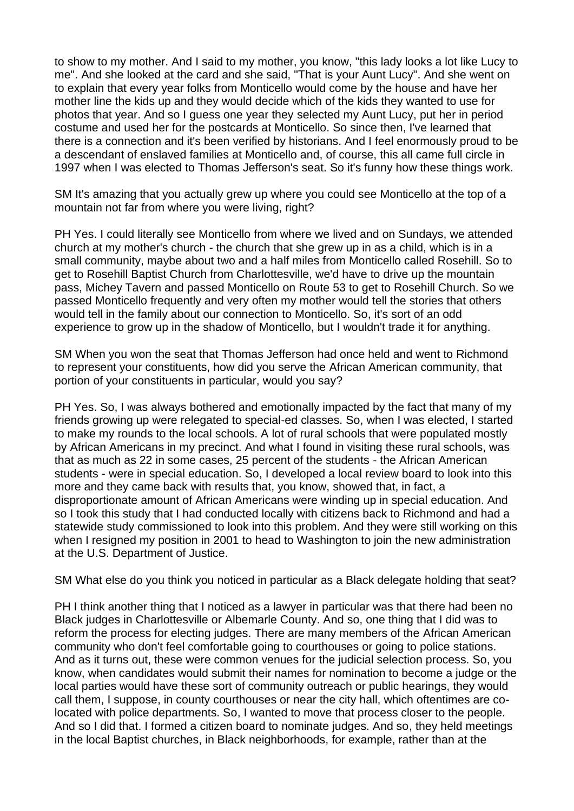to show to my mother. And I said to my mother, you know, "this lady looks a lot like Lucy to me". And she looked at the card and she said, "That is your Aunt Lucy". And she went on to explain that every year folks from Monticello would come by the house and have her mother line the kids up and they would decide which of the kids they wanted to use for photos that year. And so I guess one year they selected my Aunt Lucy, put her in period costume and used her for the postcards at Monticello. So since then, I've learned that there is a connection and it's been verified by historians. And I feel enormously proud to be a descendant of enslaved families at Monticello and, of course, this all came full circle in 1997 when I was elected to Thomas Jefferson's seat. So it's funny how these things work.

SM It's amazing that you actually grew up where you could see Monticello at the top of a mountain not far from where you were living, right?

PH Yes. I could literally see Monticello from where we lived and on Sundays, we attended church at my mother's church - the church that she grew up in as a child, which is in a small community, maybe about two and a half miles from Monticello called Rosehill. So to get to Rosehill Baptist Church from Charlottesville, we'd have to drive up the mountain pass, Michey Tavern and passed Monticello on Route 53 to get to Rosehill Church. So we passed Monticello frequently and very often my mother would tell the stories that others would tell in the family about our connection to Monticello. So, it's sort of an odd experience to grow up in the shadow of Monticello, but I wouldn't trade it for anything.

SM When you won the seat that Thomas Jefferson had once held and went to Richmond to represent your constituents, how did you serve the African American community, that portion of your constituents in particular, would you say?

PH Yes. So, I was always bothered and emotionally impacted by the fact that many of my friends growing up were relegated to special-ed classes. So, when I was elected, I started to make my rounds to the local schools. A lot of rural schools that were populated mostly by African Americans in my precinct. And what I found in visiting these rural schools, was that as much as 22 in some cases, 25 percent of the students - the African American students - were in special education. So, I developed a local review board to look into this more and they came back with results that, you know, showed that, in fact, a disproportionate amount of African Americans were winding up in special education. And so I took this study that I had conducted locally with citizens back to Richmond and had a statewide study commissioned to look into this problem. And they were still working on this when I resigned my position in 2001 to head to Washington to join the new administration at the U.S. Department of Justice.

SM What else do you think you noticed in particular as a Black delegate holding that seat?

PH I think another thing that I noticed as a lawyer in particular was that there had been no Black judges in Charlottesville or Albemarle County. And so, one thing that I did was to reform the process for electing judges. There are many members of the African American community who don't feel comfortable going to courthouses or going to police stations. And as it turns out, these were common venues for the judicial selection process. So, you know, when candidates would submit their names for nomination to become a judge or the local parties would have these sort of community outreach or public hearings, they would call them, I suppose, in county courthouses or near the city hall, which oftentimes are colocated with police departments. So, I wanted to move that process closer to the people. And so I did that. I formed a citizen board to nominate judges. And so, they held meetings in the local Baptist churches, in Black neighborhoods, for example, rather than at the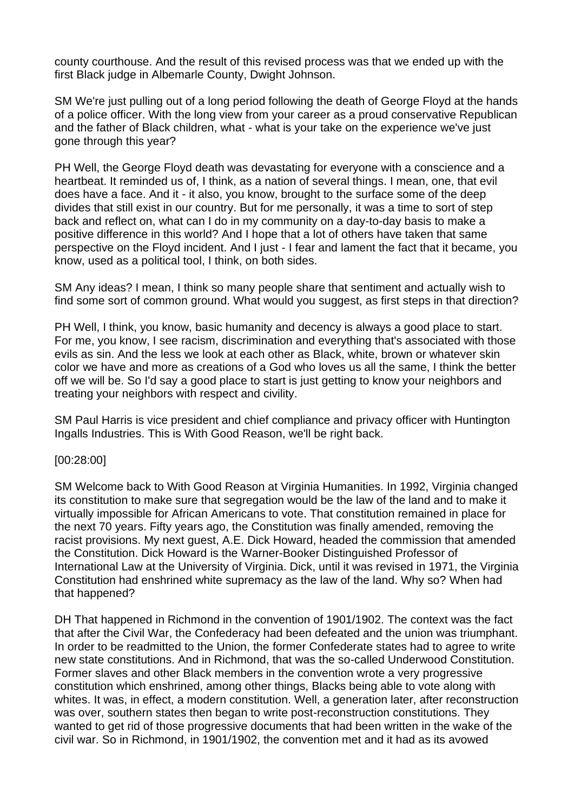county courthouse. And the result of this revised process was that we ended up with the first Black judge in Albemarle County, Dwight Johnson.

SM We're just pulling out of a long period following the death of George Floyd at the hands of a police officer. With the long view from your career as a proud conservative Republican and the father of Black children, what - what is your take on the experience we've just gone through this year?

PH Well, the George Floyd death was devastating for everyone with a conscience and a heartbeat. It reminded us of, I think, as a nation of several things. I mean, one, that evil does have a face. And it - it also, you know, brought to the surface some of the deep divides that still exist in our country. But for me personally, it was a time to sort of step back and reflect on, what can I do in my community on a day-to-day basis to make a positive difference in this world? And I hope that a lot of others have taken that same perspective on the Floyd incident. And I just - I fear and lament the fact that it became, you know, used as a political tool, I think, on both sides.

SM Any ideas? I mean, I think so many people share that sentiment and actually wish to find some sort of common ground. What would you suggest, as first steps in that direction?

PH Well, I think, you know, basic humanity and decency is always a good place to start. For me, you know, I see racism, discrimination and everything that's associated with those evils as sin. And the less we look at each other as Black, white, brown or whatever skin color we have and more as creations of a God who loves us all the same, I think the better off we will be. So I'd say a good place to start is just getting to know your neighbors and treating your neighbors with respect and civility.

SM Paul Harris is vice president and chief compliance and privacy officer with Huntington Ingalls Industries. This is With Good Reason, we'll be right back.

### [00:28:00]

SM Welcome back to With Good Reason at Virginia Humanities. In 1992, Virginia changed its constitution to make sure that segregation would be the law of the land and to make it virtually impossible for African Americans to vote. That constitution remained in place for the next 70 years. Fifty years ago, the Constitution was finally amended, removing the racist provisions. My next guest, A.E. Dick Howard, headed the commission that amended the Constitution. Dick Howard is the Warner-Booker Distinguished Professor of International Law at the University of Virginia. Dick, until it was revised in 1971, the Virginia Constitution had enshrined white supremacy as the law of the land. Why so? When had that happened?

DH That happened in Richmond in the convention of 1901/1902. The context was the fact that after the Civil War, the Confederacy had been defeated and the union was triumphant. In order to be readmitted to the Union, the former Confederate states had to agree to write new state constitutions. And in Richmond, that was the so-called Underwood Constitution. Former slaves and other Black members in the convention wrote a very progressive constitution which enshrined, among other things, Blacks being able to vote along with whites. It was, in effect, a modern constitution. Well, a generation later, after reconstruction was over, southern states then began to write post-reconstruction constitutions. They wanted to get rid of those progressive documents that had been written in the wake of the civil war. So in Richmond, in 1901/1902, the convention met and it had as its avowed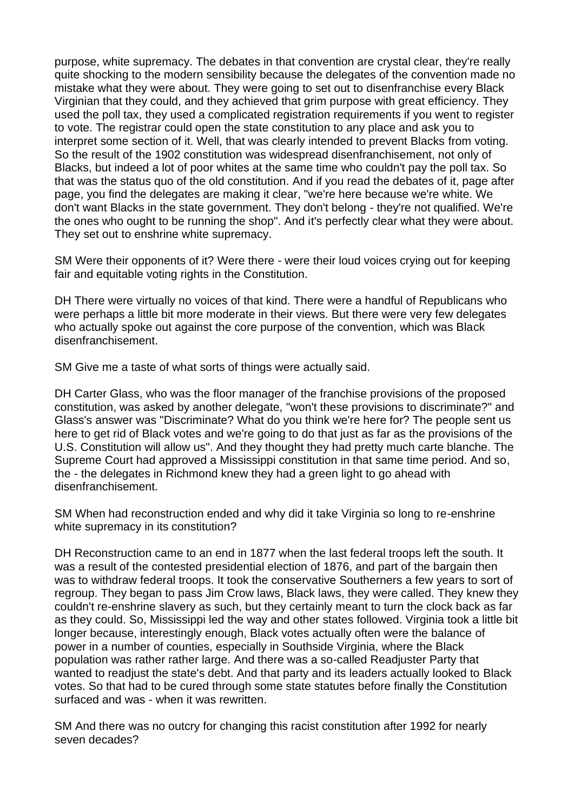purpose, white supremacy. The debates in that convention are crystal clear, they're really quite shocking to the modern sensibility because the delegates of the convention made no mistake what they were about. They were going to set out to disenfranchise every Black Virginian that they could, and they achieved that grim purpose with great efficiency. They used the poll tax, they used a complicated registration requirements if you went to register to vote. The registrar could open the state constitution to any place and ask you to interpret some section of it. Well, that was clearly intended to prevent Blacks from voting. So the result of the 1902 constitution was widespread disenfranchisement, not only of Blacks, but indeed a lot of poor whites at the same time who couldn't pay the poll tax. So that was the status quo of the old constitution. And if you read the debates of it, page after page, you find the delegates are making it clear, "we're here because we're white. We don't want Blacks in the state government. They don't belong - they're not qualified. We're the ones who ought to be running the shop". And it's perfectly clear what they were about. They set out to enshrine white supremacy.

SM Were their opponents of it? Were there - were their loud voices crying out for keeping fair and equitable voting rights in the Constitution.

DH There were virtually no voices of that kind. There were a handful of Republicans who were perhaps a little bit more moderate in their views. But there were very few delegates who actually spoke out against the core purpose of the convention, which was Black disenfranchisement.

SM Give me a taste of what sorts of things were actually said.

DH Carter Glass, who was the floor manager of the franchise provisions of the proposed constitution, was asked by another delegate, "won't these provisions to discriminate?" and Glass's answer was "Discriminate? What do you think we're here for? The people sent us here to get rid of Black votes and we're going to do that just as far as the provisions of the U.S. Constitution will allow us". And they thought they had pretty much carte blanche. The Supreme Court had approved a Mississippi constitution in that same time period. And so, the - the delegates in Richmond knew they had a green light to go ahead with disenfranchisement.

SM When had reconstruction ended and why did it take Virginia so long to re-enshrine white supremacy in its constitution?

DH Reconstruction came to an end in 1877 when the last federal troops left the south. It was a result of the contested presidential election of 1876, and part of the bargain then was to withdraw federal troops. It took the conservative Southerners a few years to sort of regroup. They began to pass Jim Crow laws, Black laws, they were called. They knew they couldn't re-enshrine slavery as such, but they certainly meant to turn the clock back as far as they could. So, Mississippi led the way and other states followed. Virginia took a little bit longer because, interestingly enough, Black votes actually often were the balance of power in a number of counties, especially in Southside Virginia, where the Black population was rather rather large. And there was a so-called Readjuster Party that wanted to readjust the state's debt. And that party and its leaders actually looked to Black votes. So that had to be cured through some state statutes before finally the Constitution surfaced and was - when it was rewritten.

SM And there was no outcry for changing this racist constitution after 1992 for nearly seven decades?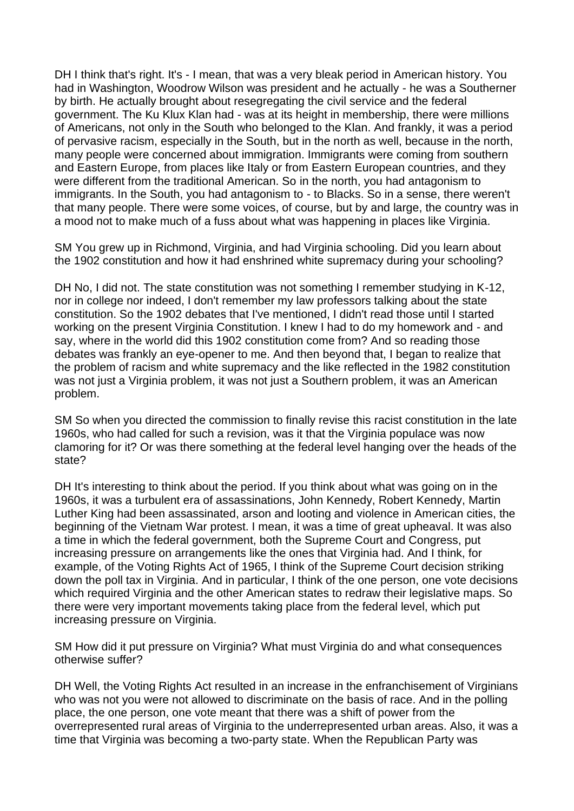DH I think that's right. It's - I mean, that was a very bleak period in American history. You had in Washington, Woodrow Wilson was president and he actually - he was a Southerner by birth. He actually brought about resegregating the civil service and the federal government. The Ku Klux Klan had - was at its height in membership, there were millions of Americans, not only in the South who belonged to the Klan. And frankly, it was a period of pervasive racism, especially in the South, but in the north as well, because in the north, many people were concerned about immigration. Immigrants were coming from southern and Eastern Europe, from places like Italy or from Eastern European countries, and they were different from the traditional American. So in the north, you had antagonism to immigrants. In the South, you had antagonism to - to Blacks. So in a sense, there weren't that many people. There were some voices, of course, but by and large, the country was in a mood not to make much of a fuss about what was happening in places like Virginia.

SM You grew up in Richmond, Virginia, and had Virginia schooling. Did you learn about the 1902 constitution and how it had enshrined white supremacy during your schooling?

DH No, I did not. The state constitution was not something I remember studying in K-12, nor in college nor indeed, I don't remember my law professors talking about the state constitution. So the 1902 debates that I've mentioned, I didn't read those until I started working on the present Virginia Constitution. I knew I had to do my homework and - and say, where in the world did this 1902 constitution come from? And so reading those debates was frankly an eye-opener to me. And then beyond that, I began to realize that the problem of racism and white supremacy and the like reflected in the 1982 constitution was not just a Virginia problem, it was not just a Southern problem, it was an American problem.

SM So when you directed the commission to finally revise this racist constitution in the late 1960s, who had called for such a revision, was it that the Virginia populace was now clamoring for it? Or was there something at the federal level hanging over the heads of the state?

DH It's interesting to think about the period. If you think about what was going on in the 1960s, it was a turbulent era of assassinations, John Kennedy, Robert Kennedy, Martin Luther King had been assassinated, arson and looting and violence in American cities, the beginning of the Vietnam War protest. I mean, it was a time of great upheaval. It was also a time in which the federal government, both the Supreme Court and Congress, put increasing pressure on arrangements like the ones that Virginia had. And I think, for example, of the Voting Rights Act of 1965, I think of the Supreme Court decision striking down the poll tax in Virginia. And in particular, I think of the one person, one vote decisions which required Virginia and the other American states to redraw their legislative maps. So there were very important movements taking place from the federal level, which put increasing pressure on Virginia.

SM How did it put pressure on Virginia? What must Virginia do and what consequences otherwise suffer?

DH Well, the Voting Rights Act resulted in an increase in the enfranchisement of Virginians who was not you were not allowed to discriminate on the basis of race. And in the polling place, the one person, one vote meant that there was a shift of power from the overrepresented rural areas of Virginia to the underrepresented urban areas. Also, it was a time that Virginia was becoming a two-party state. When the Republican Party was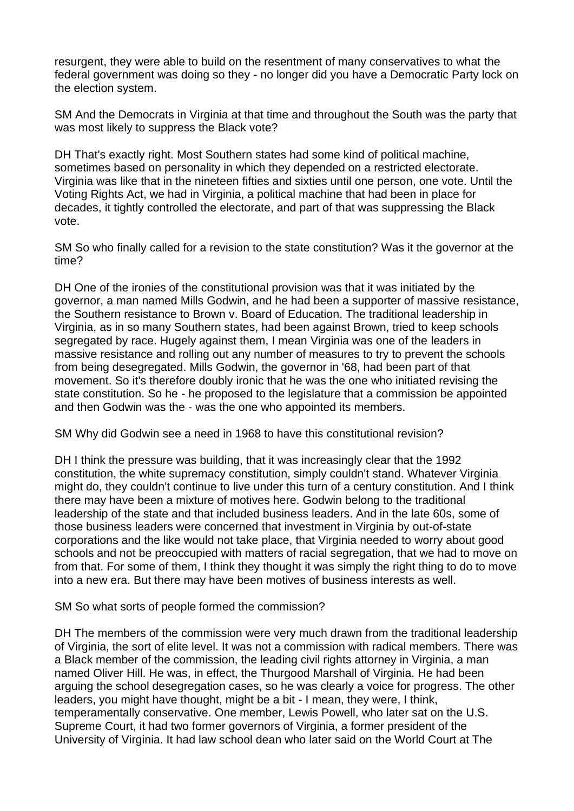resurgent, they were able to build on the resentment of many conservatives to what the federal government was doing so they - no longer did you have a Democratic Party lock on the election system.

SM And the Democrats in Virginia at that time and throughout the South was the party that was most likely to suppress the Black vote?

DH That's exactly right. Most Southern states had some kind of political machine, sometimes based on personality in which they depended on a restricted electorate. Virginia was like that in the nineteen fifties and sixties until one person, one vote. Until the Voting Rights Act, we had in Virginia, a political machine that had been in place for decades, it tightly controlled the electorate, and part of that was suppressing the Black vote.

SM So who finally called for a revision to the state constitution? Was it the governor at the time?

DH One of the ironies of the constitutional provision was that it was initiated by the governor, a man named Mills Godwin, and he had been a supporter of massive resistance, the Southern resistance to Brown v. Board of Education. The traditional leadership in Virginia, as in so many Southern states, had been against Brown, tried to keep schools segregated by race. Hugely against them, I mean Virginia was one of the leaders in massive resistance and rolling out any number of measures to try to prevent the schools from being desegregated. Mills Godwin, the governor in '68, had been part of that movement. So it's therefore doubly ironic that he was the one who initiated revising the state constitution. So he - he proposed to the legislature that a commission be appointed and then Godwin was the - was the one who appointed its members.

SM Why did Godwin see a need in 1968 to have this constitutional revision?

DH I think the pressure was building, that it was increasingly clear that the 1992 constitution, the white supremacy constitution, simply couldn't stand. Whatever Virginia might do, they couldn't continue to live under this turn of a century constitution. And I think there may have been a mixture of motives here. Godwin belong to the traditional leadership of the state and that included business leaders. And in the late 60s, some of those business leaders were concerned that investment in Virginia by out-of-state corporations and the like would not take place, that Virginia needed to worry about good schools and not be preoccupied with matters of racial segregation, that we had to move on from that. For some of them, I think they thought it was simply the right thing to do to move into a new era. But there may have been motives of business interests as well.

SM So what sorts of people formed the commission?

DH The members of the commission were very much drawn from the traditional leadership of Virginia, the sort of elite level. It was not a commission with radical members. There was a Black member of the commission, the leading civil rights attorney in Virginia, a man named Oliver Hill. He was, in effect, the Thurgood Marshall of Virginia. He had been arguing the school desegregation cases, so he was clearly a voice for progress. The other leaders, you might have thought, might be a bit - I mean, they were, I think, temperamentally conservative. One member, Lewis Powell, who later sat on the U.S. Supreme Court, it had two former governors of Virginia, a former president of the University of Virginia. It had law school dean who later said on the World Court at The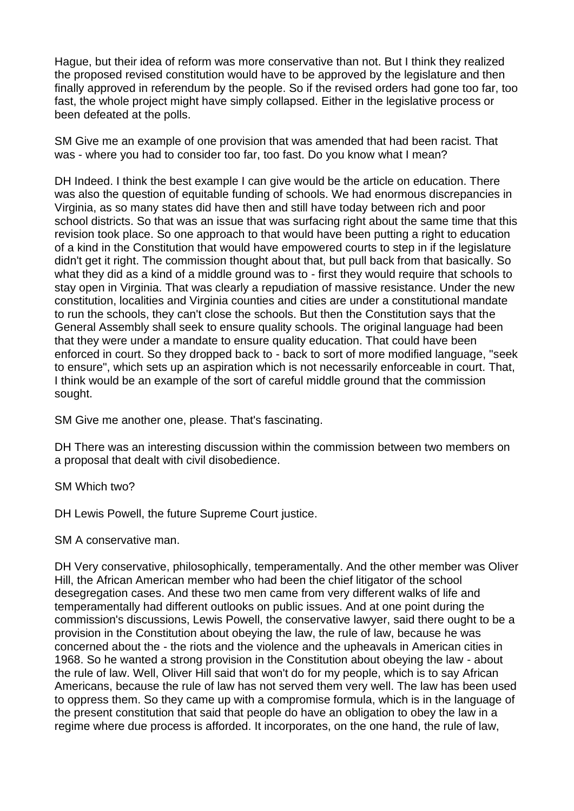Hague, but their idea of reform was more conservative than not. But I think they realized the proposed revised constitution would have to be approved by the legislature and then finally approved in referendum by the people. So if the revised orders had gone too far, too fast, the whole project might have simply collapsed. Either in the legislative process or been defeated at the polls.

SM Give me an example of one provision that was amended that had been racist. That was - where you had to consider too far, too fast. Do you know what I mean?

DH Indeed. I think the best example I can give would be the article on education. There was also the question of equitable funding of schools. We had enormous discrepancies in Virginia, as so many states did have then and still have today between rich and poor school districts. So that was an issue that was surfacing right about the same time that this revision took place. So one approach to that would have been putting a right to education of a kind in the Constitution that would have empowered courts to step in if the legislature didn't get it right. The commission thought about that, but pull back from that basically. So what they did as a kind of a middle ground was to - first they would require that schools to stay open in Virginia. That was clearly a repudiation of massive resistance. Under the new constitution, localities and Virginia counties and cities are under a constitutional mandate to run the schools, they can't close the schools. But then the Constitution says that the General Assembly shall seek to ensure quality schools. The original language had been that they were under a mandate to ensure quality education. That could have been enforced in court. So they dropped back to - back to sort of more modified language, "seek to ensure", which sets up an aspiration which is not necessarily enforceable in court. That, I think would be an example of the sort of careful middle ground that the commission sought.

SM Give me another one, please. That's fascinating.

DH There was an interesting discussion within the commission between two members on a proposal that dealt with civil disobedience.

SM Which two?

DH Lewis Powell, the future Supreme Court justice.

SM A conservative man.

DH Very conservative, philosophically, temperamentally. And the other member was Oliver Hill, the African American member who had been the chief litigator of the school desegregation cases. And these two men came from very different walks of life and temperamentally had different outlooks on public issues. And at one point during the commission's discussions, Lewis Powell, the conservative lawyer, said there ought to be a provision in the Constitution about obeying the law, the rule of law, because he was concerned about the - the riots and the violence and the upheavals in American cities in 1968. So he wanted a strong provision in the Constitution about obeying the law - about the rule of law. Well, Oliver Hill said that won't do for my people, which is to say African Americans, because the rule of law has not served them very well. The law has been used to oppress them. So they came up with a compromise formula, which is in the language of the present constitution that said that people do have an obligation to obey the law in a regime where due process is afforded. It incorporates, on the one hand, the rule of law,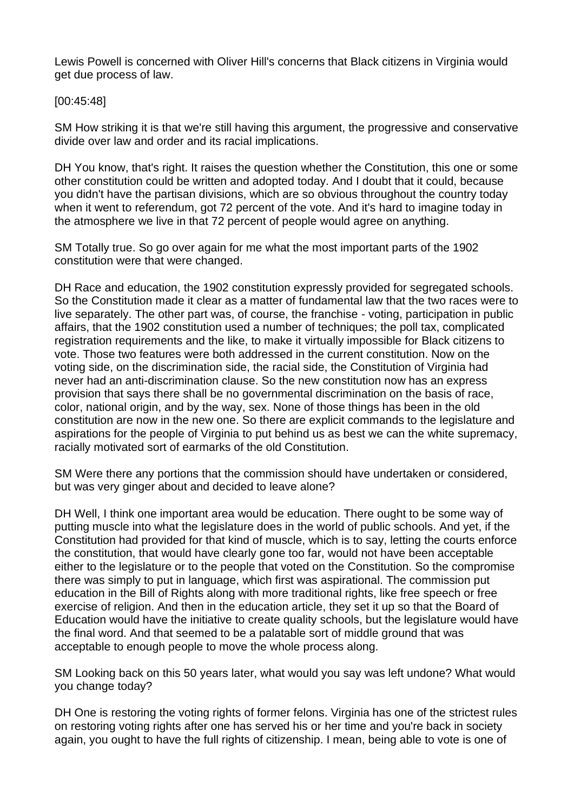Lewis Powell is concerned with Oliver Hill's concerns that Black citizens in Virginia would get due process of law.

### [00:45:48]

SM How striking it is that we're still having this argument, the progressive and conservative divide over law and order and its racial implications.

DH You know, that's right. It raises the question whether the Constitution, this one or some other constitution could be written and adopted today. And I doubt that it could, because you didn't have the partisan divisions, which are so obvious throughout the country today when it went to referendum, got 72 percent of the vote. And it's hard to imagine today in the atmosphere we live in that 72 percent of people would agree on anything.

SM Totally true. So go over again for me what the most important parts of the 1902 constitution were that were changed.

DH Race and education, the 1902 constitution expressly provided for segregated schools. So the Constitution made it clear as a matter of fundamental law that the two races were to live separately. The other part was, of course, the franchise - voting, participation in public affairs, that the 1902 constitution used a number of techniques; the poll tax, complicated registration requirements and the like, to make it virtually impossible for Black citizens to vote. Those two features were both addressed in the current constitution. Now on the voting side, on the discrimination side, the racial side, the Constitution of Virginia had never had an anti-discrimination clause. So the new constitution now has an express provision that says there shall be no governmental discrimination on the basis of race, color, national origin, and by the way, sex. None of those things has been in the old constitution are now in the new one. So there are explicit commands to the legislature and aspirations for the people of Virginia to put behind us as best we can the white supremacy, racially motivated sort of earmarks of the old Constitution.

SM Were there any portions that the commission should have undertaken or considered, but was very ginger about and decided to leave alone?

DH Well, I think one important area would be education. There ought to be some way of putting muscle into what the legislature does in the world of public schools. And yet, if the Constitution had provided for that kind of muscle, which is to say, letting the courts enforce the constitution, that would have clearly gone too far, would not have been acceptable either to the legislature or to the people that voted on the Constitution. So the compromise there was simply to put in language, which first was aspirational. The commission put education in the Bill of Rights along with more traditional rights, like free speech or free exercise of religion. And then in the education article, they set it up so that the Board of Education would have the initiative to create quality schools, but the legislature would have the final word. And that seemed to be a palatable sort of middle ground that was acceptable to enough people to move the whole process along.

SM Looking back on this 50 years later, what would you say was left undone? What would you change today?

DH One is restoring the voting rights of former felons. Virginia has one of the strictest rules on restoring voting rights after one has served his or her time and you're back in society again, you ought to have the full rights of citizenship. I mean, being able to vote is one of